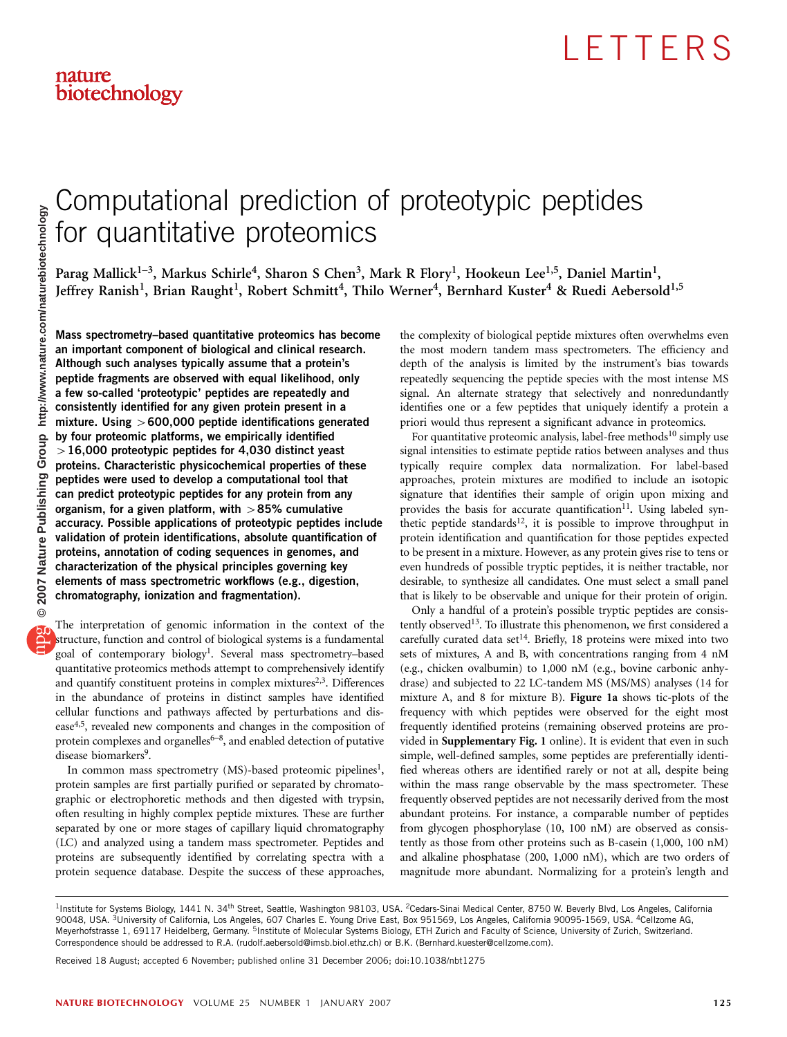# Computational prediction of proteotypic peptides for quantitative proteomics

Parag Mallick<sup>1-3</sup>, Markus Schirle<sup>4</sup>, Sharon S Chen<sup>3</sup>, Mark R Flory<sup>1</sup>, Hookeun Lee<sup>1,5</sup>, Daniel Martin<sup>1</sup>, Jeffrey Ranish<sup>1</sup>, Brian Raught<sup>1</sup>, Robert Schmitt<sup>4</sup>, Thilo Werner<sup>4</sup>, Bernhard Kuster<sup>4</sup> & Ruedi Aebersold<sup>1,5</sup>

Mass spectrometry–based quantitative proteomics has become an important component of biological and clinical research. Although such analyses typically assume that a protein's peptide fragments are observed with equal likelihood, only a few so-called 'proteotypic' peptides are repeatedly and consistently identified for any given protein present in a mixture. Using  $>600,000$  peptide identifications generated by four proteomic platforms, we empirically identified  $>$  16,000 proteotypic peptides for 4,030 distinct yeast proteins. Characteristic physicochemical properties of these peptides were used to develop a computational tool that can predict proteotypic peptides for any protein from any organism, for a given platform, with  $>85%$  cumulative accuracy. Possible applications of proteotypic peptides include validation of protein identifications, absolute quantification of proteins, annotation of coding sequences in genomes, and characterization of the physical principles governing key elements of mass spectrometric workflows (e.g., digestion, chromatography, ionization and fragmentation).

The interpretation of genomic information in the context of the structure, function and control of biological systems is a fundamental goal of contemporary biology<sup>1</sup>. Several mass spectrometry-based quantitative proteomics methods attempt to comprehensively identify and quantify constituent proteins in complex mixtures<sup>2,3</sup>. Differences in the abundance of proteins in distinct samples have identified cellular functions and pathways affected by perturbations and disease4,5, revealed new components and changes in the composition of protein complexes and organelles<sup>6–8</sup>, and enabled detection of putative disease biomarkers<sup>9</sup>.

In common mass spectrometry  $(MS)$ -based proteomic pipelines<sup>1</sup>, protein samples are first partially purified or separated by chromatographic or electrophoretic methods and then digested with trypsin, often resulting in highly complex peptide mixtures. These are further separated by one or more stages of capillary liquid chromatography (LC) and analyzed using a tandem mass spectrometer. Peptides and proteins are subsequently identified by correlating spectra with a protein sequence database. Despite the success of these approaches,

the complexity of biological peptide mixtures often overwhelms even the most modern tandem mass spectrometers. The efficiency and depth of the analysis is limited by the instrument's bias towards repeatedly sequencing the peptide species with the most intense MS signal. An alternate strategy that selectively and nonredundantly identifies one or a few peptides that uniquely identify a protein a priori would thus represent a significant advance in proteomics.

For quantitative proteomic analysis, label-free methods<sup>10</sup> simply use signal intensities to estimate peptide ratios between analyses and thus typically require complex data normalization. For label-based approaches, protein mixtures are modified to include an isotopic signature that identifies their sample of origin upon mixing and provides the basis for accurate quantification<sup>11</sup>. Using labeled synthetic peptide standards<sup>12</sup>, it is possible to improve throughput in protein identification and quantification for those peptides expected to be present in a mixture. However, as any protein gives rise to tens or even hundreds of possible tryptic peptides, it is neither tractable, nor desirable, to synthesize all candidates. One must select a small panel that is likely to be observable and unique for their protein of origin.

Only a handful of a protein's possible tryptic peptides are consistently observed<sup>13</sup>. To illustrate this phenomenon, we first considered a carefully curated data set<sup>14</sup>. Briefly, 18 proteins were mixed into two sets of mixtures, A and B, with concentrations ranging from 4 nM (e.g., chicken ovalbumin) to 1,000 nM (e.g., bovine carbonic anhydrase) and subjected to 22 LC-tandem MS (MS/MS) analyses (14 for mixture A, and 8 for mixture B). Figure 1a shows tic-plots of the frequency with which peptides were observed for the eight most frequently identified proteins (remaining observed proteins are provided in Supplementary Fig. 1 online). It is evident that even in such simple, well-defined samples, some peptides are preferentially identified whereas others are identified rarely or not at all, despite being within the mass range observable by the mass spectrometer. These frequently observed peptides are not necessarily derived from the most abundant proteins. For instance, a comparable number of peptides from glycogen phosphorylase (10, 100 nM) are observed as consistently as those from other proteins such as B-casein (1,000, 100 nM) and alkaline phosphatase (200, 1,000 nM), which are two orders of magnitude more abundant. Normalizing for a protein's length and

Received 18 August; accepted 6 November; published online 31 December 2006; doi:10.1038/nbt1275

<sup>&</sup>lt;sup>1</sup>Institute for Systems Biology, 1441 N. 34<sup>th</sup> Street, Seattle, Washington 98103, USA. <sup>2</sup>Cedars-Sinai Medical Center, 8750 W. Beverly Blvd, Los Angeles, California 90048, USA. <sup>3</sup>University of California, Los Angeles, 607 Charles E. Young Drive East, Box 951569, Los Angeles, California 90095-1569, USA. <sup>4</sup>Cellzome AG, Meyerhofstrasse 1, 69117 Heidelberg, Germany. <sup>5</sup>Institute of Molecular Systems Biology, ETH Zurich and Faculty of Science, University of Zurich, Switzerland. Correspondence should be addressed to R.A. (rudolf.aebersold@imsb.biol.ethz.ch) or B.K. (Bernhard.kuester@cellzome.com).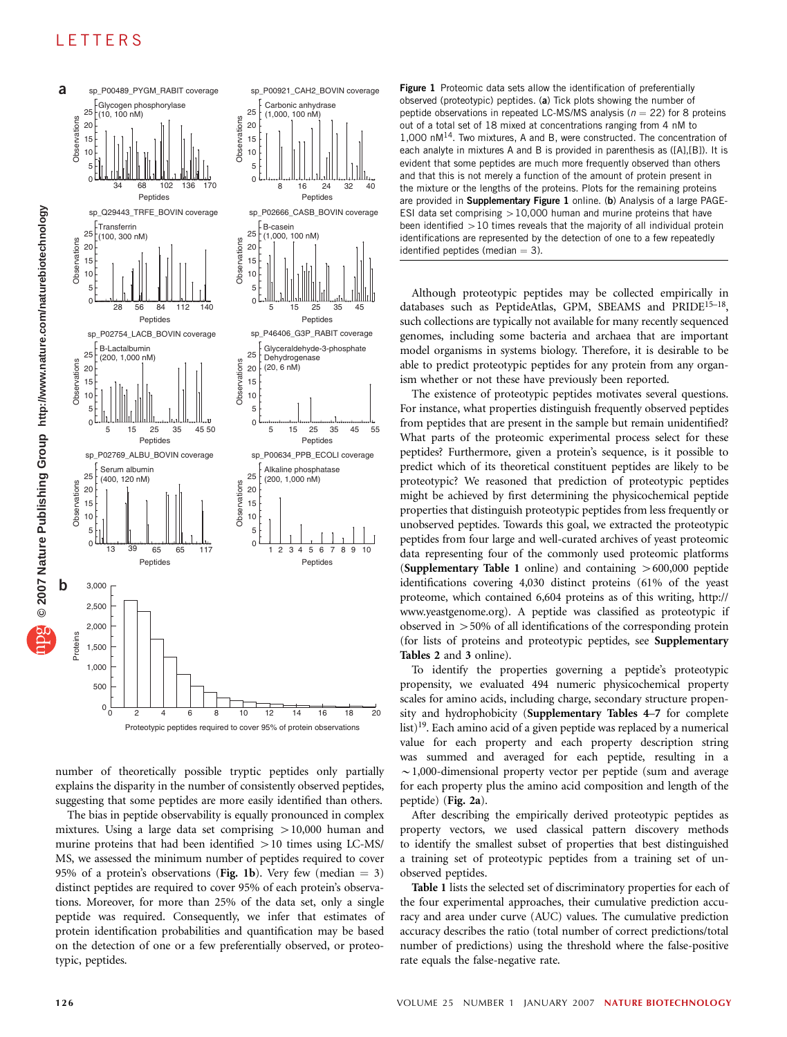### **LETTERS**



number of theoretically possible tryptic peptides only partially explains the disparity in the number of consistently observed peptides, suggesting that some peptides are more easily identified than others.

The bias in peptide observability is equally pronounced in complex mixtures. Using a large data set comprising  $>10,000$  human and murine proteins that had been identified  $>10$  times using LC-MS/ MS, we assessed the minimum number of peptides required to cover 95% of a protein's observations (Fig. 1b). Very few (median  $=$  3) distinct peptides are required to cover 95% of each protein's observations. Moreover, for more than 25% of the data set, only a single peptide was required. Consequently, we infer that estimates of protein identification probabilities and quantification may be based on the detection of one or a few preferentially observed, or proteotypic, peptides.



Although proteotypic peptides may be collected empirically in databases such as PeptideAtlas, GPM, SBEAMS and PRIDE<sup>15-18</sup>, such collections are typically not available for many recently sequenced genomes, including some bacteria and archaea that are important model organisms in systems biology. Therefore, it is desirable to be able to predict proteotypic peptides for any protein from any organism whether or not these have previously been reported.

The existence of proteotypic peptides motivates several questions. For instance, what properties distinguish frequently observed peptides from peptides that are present in the sample but remain unidentified? What parts of the proteomic experimental process select for these peptides? Furthermore, given a protein's sequence, is it possible to predict which of its theoretical constituent peptides are likely to be proteotypic? We reasoned that prediction of proteotypic peptides might be achieved by first determining the physicochemical peptide properties that distinguish proteotypic peptides from less frequently or unobserved peptides. Towards this goal, we extracted the proteotypic peptides from four large and well-curated archives of yeast proteomic data representing four of the commonly used proteomic platforms (Supplementary Table 1 online) and containing  $>600,000$  peptide identifications covering 4,030 distinct proteins (61% of the yeast proteome, which contained 6,604 proteins as of this writing, http:// www.yeastgenome.org). A peptide was classified as proteotypic if observed in  $>50\%$  of all identifications of the corresponding protein (for lists of proteins and proteotypic peptides, see Supplementary Tables 2 and 3 online).

To identify the properties governing a peptide's proteotypic propensity, we evaluated 494 numeric physicochemical property scales for amino acids, including charge, secondary structure propensity and hydrophobicity (Supplementary Tables 4–7 for complete list)<sup>19</sup>. Each amino acid of a given peptide was replaced by a numerical value for each property and each property description string was summed and averaged for each peptide, resulting in a  $\sim$  1,000-dimensional property vector per peptide (sum and average for each property plus the amino acid composition and length of the peptide) (Fig. 2a).

After describing the empirically derived proteotypic peptides as property vectors, we used classical pattern discovery methods to identify the smallest subset of properties that best distinguished a training set of proteotypic peptides from a training set of unobserved peptides.

Table 1 lists the selected set of discriminatory properties for each of the four experimental approaches, their cumulative prediction accuracy and area under curve (AUC) values. The cumulative prediction accuracy describes the ratio (total number of correct predictions/total number of predictions) using the threshold where the false-positive rate equals the false-negative rate.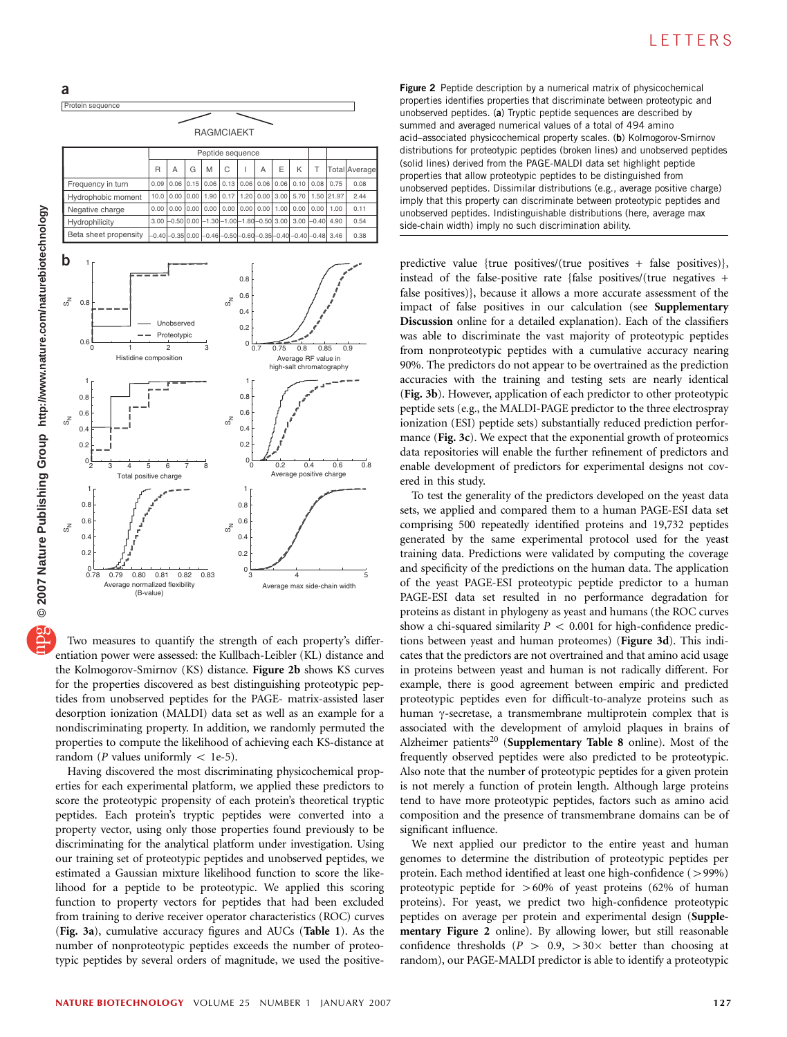

Two measures to quantify the strength of each property's differentiation power were assessed: the Kullbach-Leibler (KL) distance and the Kolmogorov-Smirnov (KS) distance. Figure 2b shows KS curves for the properties discovered as best distinguishing proteotypic peptides from unobserved peptides for the PAGE- matrix-assisted laser desorption ionization (MALDI) data set as well as an example for a nondiscriminating property. In addition, we randomly permuted the properties to compute the likelihood of achieving each KS-distance at random ( $P$  values uniformly  $\lt$  1e-5).

Having discovered the most discriminating physicochemical properties for each experimental platform, we applied these predictors to score the proteotypic propensity of each protein's theoretical tryptic peptides. Each protein's tryptic peptides were converted into a property vector, using only those properties found previously to be discriminating for the analytical platform under investigation. Using our training set of proteotypic peptides and unobserved peptides, we estimated a Gaussian mixture likelihood function to score the likelihood for a peptide to be proteotypic. We applied this scoring function to property vectors for peptides that had been excluded from training to derive receiver operator characteristics (ROC) curves (Fig. 3a), cumulative accuracy figures and AUCs (Table 1). As the number of nonproteotypic peptides exceeds the number of proteotypic peptides by several orders of magnitude, we used the positive-

**a a Figure 2** Peptide description by a numerical matrix of physicochemical **a a i** properties identifies properties that discriminate between proteotypic and unobserved peptides. (a) Tryptic peptide sequences are described by summed and averaged numerical values of a total of 494 amino acid–associated physicochemical property scales. (b) Kolmogorov-Smirnov distributions for proteotypic peptides (broken lines) and unobserved peptides (solid lines) derived from the PAGE-MALDI data set highlight peptide properties that allow proteotypic peptides to be distinguished from unobserved peptides. Dissimilar distributions (e.g., average positive charge) imply that this property can discriminate between proteotypic peptides and unobserved peptides. Indistinguishable distributions (here, average max side-chain width) imply no such discrimination ability.

predictive value {true positives/(true positives + false positives)}, instead of the false-positive rate {false positives/(true negatives + false positives)}, because it allows a more accurate assessment of the impact of false positives in our calculation (see Supplementary Discussion online for a detailed explanation). Each of the classifiers was able to discriminate the vast majority of proteotypic peptides from nonproteotypic peptides with a cumulative accuracy nearing 90%. The predictors do not appear to be overtrained as the prediction accuracies with the training and testing sets are nearly identical (Fig. 3b). However, application of each predictor to other proteotypic peptide sets (e.g., the MALDI-PAGE predictor to the three electrospray ionization (ESI) peptide sets) substantially reduced prediction performance (Fig. 3c). We expect that the exponential growth of proteomics data repositories will enable the further refinement of predictors and enable development of predictors for experimental designs not covered in this study.

To test the generality of the predictors developed on the yeast data sets, we applied and compared them to a human PAGE-ESI data set comprising 500 repeatedly identified proteins and 19,732 peptides generated by the same experimental protocol used for the yeast training data. Predictions were validated by computing the coverage and specificity of the predictions on the human data. The application of the yeast PAGE-ESI proteotypic peptide predictor to a human PAGE-ESI data set resulted in no performance degradation for proteins as distant in phylogeny as yeast and humans (the ROC curves show a chi-squared similarity  $P < 0.001$  for high-confidence predictions between yeast and human proteomes) (Figure 3d). This indicates that the predictors are not overtrained and that amino acid usage in proteins between yeast and human is not radically different. For example, there is good agreement between empiric and predicted proteotypic peptides even for difficult-to-analyze proteins such as human  $\gamma$ -secretase, a transmembrane multiprotein complex that is associated with the development of amyloid plaques in brains of Alzheimer patients<sup>20</sup> (Supplementary Table 8 online). Most of the frequently observed peptides were also predicted to be proteotypic. Also note that the number of proteotypic peptides for a given protein is not merely a function of protein length. Although large proteins tend to have more proteotypic peptides, factors such as amino acid composition and the presence of transmembrane domains can be of significant influence.

We next applied our predictor to the entire yeast and human genomes to determine the distribution of proteotypic peptides per protein. Each method identified at least one high-confidence (>99%) proteotypic peptide for  $>60\%$  of yeast proteins (62% of human proteins). For yeast, we predict two high-confidence proteotypic peptides on average per protein and experimental design (Supplementary Figure 2 online). By allowing lower, but still reasonable confidence thresholds ( $P > 0.9$ ,  $> 30 \times$  better than choosing at random), our PAGE-MALDI predictor is able to identify a proteotypic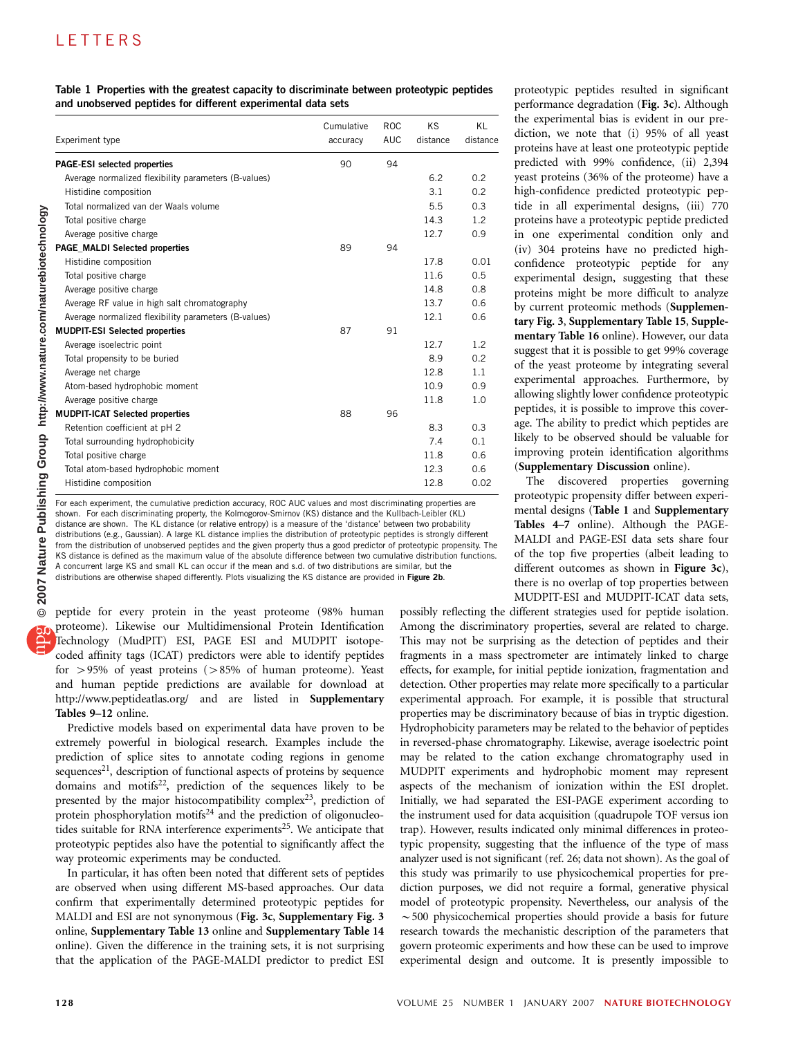Table 1 Properties with the greatest capacity to discriminate between proteotypic peptides and unobserved peptides for different experimental data sets

| Experiment type                                      | Cumulative<br>accuracy | <b>ROC</b><br><b>AUC</b> | KS<br>distance | KL<br>distance |
|------------------------------------------------------|------------------------|--------------------------|----------------|----------------|
| <b>PAGE-ESI</b> selected properties                  | 90                     | 94                       |                |                |
| Average normalized flexibility parameters (B-values) |                        |                          | 6.2            | 0.2            |
| Histidine composition                                |                        |                          | 3.1            | 0.2            |
| Total normalized van der Waals volume                |                        |                          | 5.5            | 0.3            |
| Total positive charge                                |                        |                          | 14.3           | 1.2            |
| Average positive charge                              |                        |                          | 12.7           | 0.9            |
| <b>PAGE_MALDI Selected properties</b>                | 89                     | 94                       |                |                |
| Histidine composition                                |                        |                          | 17.8           | 0.01           |
| Total positive charge                                |                        |                          | 11.6           | 0.5            |
| Average positive charge                              |                        |                          | 14.8           | 0.8            |
| Average RF value in high salt chromatography         |                        |                          | 13.7           | 0.6            |
| Average normalized flexibility parameters (B-values) |                        |                          | 12.1           | 0.6            |
| <b>MUDPIT-ESI Selected properties</b>                | 87                     | 91                       |                |                |
| Average isoelectric point                            |                        |                          | 12.7           | 1.2            |
| Total propensity to be buried                        |                        |                          | 8.9            | 0.2            |
| Average net charge                                   |                        |                          | 12.8           | 1.1            |
| Atom-based hydrophobic moment                        |                        |                          | 10.9           | 0.9            |
| Average positive charge                              |                        |                          | 11.8           | 1.0            |
| <b>MUDPIT-ICAT Selected properties</b>               | 88                     | 96                       |                |                |
| Retention coefficient at pH 2                        |                        |                          | 8.3            | 0.3            |
| Total surrounding hydrophobicity                     |                        |                          | 7.4            | 0.1            |
| Total positive charge                                |                        |                          | 11.8           | 0.6            |
| Total atom-based hydrophobic moment                  |                        |                          | 12.3           | 0.6            |
| Histidine composition                                |                        |                          | 12.8           | 0.02           |

For each experiment, the cumulative prediction accuracy, ROC AUC values and most discriminating properties are shown. For each discriminating property, the Kolmogorov-Smirnov (KS) distance and the Kullbach-Leibler (KL) distance are shown. The KL distance (or relative entropy) is a measure of the 'distance' between two probability distributions (e.g., Gaussian). A large KL distance implies the distribution of proteotypic peptides is strongly different from the distribution of unobserved peptides and the given property thus a good predictor of proteotypic propensity. The KS distance is defined as the maximum value of the absolute difference between two cumulative distribution functions. A concurrent large KS and small KL can occur if the mean and s.d. of two distributions are similar, but the distributions are otherwise shaped differently. Plots visualizing the KS distance are provided in Figure 2b.

peptide for every protein in the yeast proteome (98% human proteome). Likewise our Multidimensional Protein Identification Technology (MudPIT) ESI, PAGE ESI and MUDPIT isotopecoded affinity tags (ICAT) predictors were able to identify peptides for  $>95\%$  of yeast proteins ( $>85\%$  of human proteome). Yeast and human peptide predictions are available for download at http://www.peptideatlas.org/ and are listed in Supplementary Tables 9–12 online.

Predictive models based on experimental data have proven to be extremely powerful in biological research. Examples include the prediction of splice sites to annotate coding regions in genome sequences $^{21}$ , description of functional aspects of proteins by sequence domains and motifs<sup>22</sup>, prediction of the sequences likely to be presented by the major histocompatibility complex<sup>23</sup>, prediction of protein phosphorylation motifs<sup>24</sup> and the prediction of oligonucleotides suitable for RNA interference experiments<sup>25</sup>. We anticipate that proteotypic peptides also have the potential to significantly affect the way proteomic experiments may be conducted.

In particular, it has often been noted that different sets of peptides are observed when using different MS-based approaches. Our data confirm that experimentally determined proteotypic peptides for MALDI and ESI are not synonymous (Fig. 3c, Supplementary Fig. 3 online, Supplementary Table 13 online and Supplementary Table 14 online). Given the difference in the training sets, it is not surprising that the application of the PAGE-MALDI predictor to predict ESI proteotypic peptides resulted in significant performance degradation (Fig. 3c). Although the experimental bias is evident in our prediction, we note that (i) 95% of all yeast proteins have at least one proteotypic peptide predicted with 99% confidence, (ii) 2,394 yeast proteins (36% of the proteome) have a high-confidence predicted proteotypic peptide in all experimental designs, (iii) 770 proteins have a proteotypic peptide predicted in one experimental condition only and (iv) 304 proteins have no predicted highconfidence proteotypic peptide for any experimental design, suggesting that these proteins might be more difficult to analyze by current proteomic methods (Supplementary Fig. 3, Supplementary Table 15, Supplementary Table 16 online). However, our data suggest that it is possible to get 99% coverage of the yeast proteome by integrating several experimental approaches. Furthermore, by allowing slightly lower confidence proteotypic peptides, it is possible to improve this coverage. The ability to predict which peptides are likely to be observed should be valuable for improving protein identification algorithms (Supplementary Discussion online).

The discovered properties governing proteotypic propensity differ between experimental designs (Table 1 and Supplementary Tables 4–7 online). Although the PAGE-MALDI and PAGE-ESI data sets share four of the top five properties (albeit leading to different outcomes as shown in Figure 3c), there is no overlap of top properties between MUDPIT-ESI and MUDPIT-ICAT data sets,

possibly reflecting the different strategies used for peptide isolation. Among the discriminatory properties, several are related to charge. This may not be surprising as the detection of peptides and their fragments in a mass spectrometer are intimately linked to charge effects, for example, for initial peptide ionization, fragmentation and detection. Other properties may relate more specifically to a particular experimental approach. For example, it is possible that structural properties may be discriminatory because of bias in tryptic digestion. Hydrophobicity parameters may be related to the behavior of peptides in reversed-phase chromatography. Likewise, average isoelectric point may be related to the cation exchange chromatography used in MUDPIT experiments and hydrophobic moment may represent aspects of the mechanism of ionization within the ESI droplet. Initially, we had separated the ESI-PAGE experiment according to the instrument used for data acquisition (quadrupole TOF versus ion trap). However, results indicated only minimal differences in proteotypic propensity, suggesting that the influence of the type of mass analyzer used is not significant (ref. 26; data not shown). As the goal of this study was primarily to use physicochemical properties for prediction purposes, we did not require a formal, generative physical model of proteotypic propensity. Nevertheless, our analysis of the  $\sim$  500 physicochemical properties should provide a basis for future research towards the mechanistic description of the parameters that govern proteomic experiments and how these can be used to improve experimental design and outcome. It is presently impossible to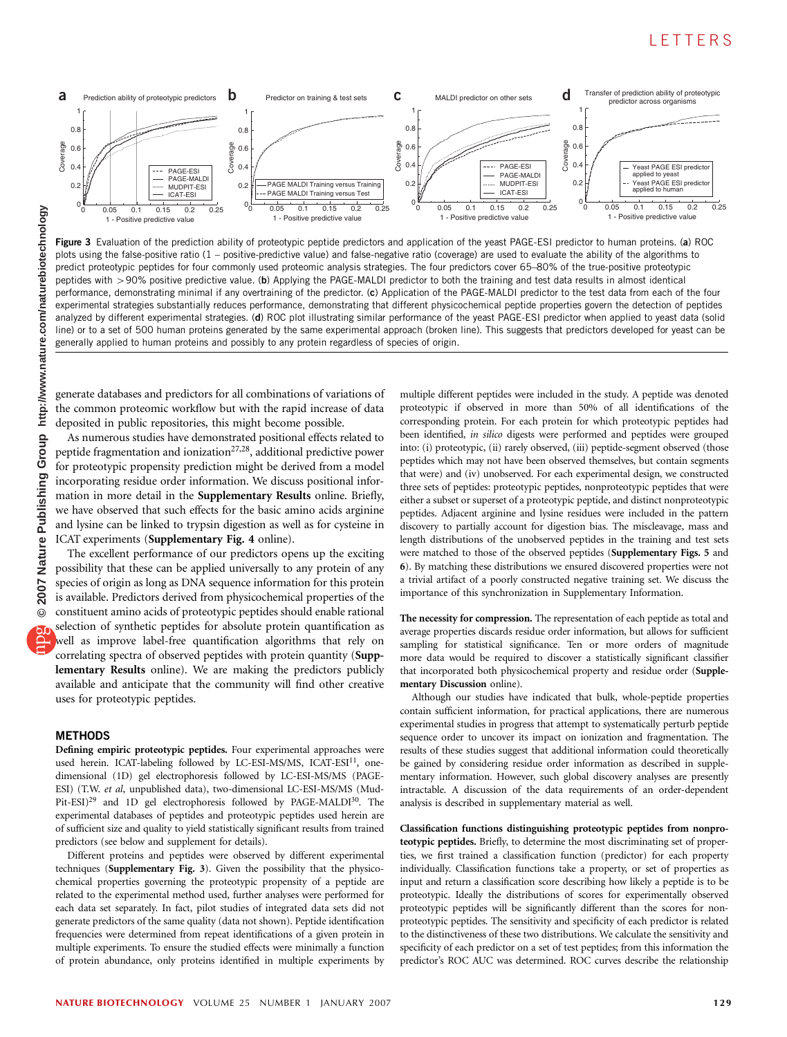# **LETTERS**



Figure 3 Evaluation of the prediction ability of proteotypic peptide predictors and application of the yeast PAGE-ESI predictor to human proteins. (a) ROC plots using the false-positive ratio (1 – positive-predictive value) and false-negative ratio (coverage) are used to evaluate the ability of the algorithms to predict proteotypic peptides for four commonly used proteomic analysis strategies. The four predictors cover 65–80% of the true-positive proteotypic peptides with >90% positive predictive value. (b) Applying the PAGE-MALDI predictor to both the training and test data results in almost identical performance, demonstrating minimal if any overtraining of the predictor. (c) Application of the PAGE-MALDI predictor to the test data from each of the four experimental strategies substantially reduces performance, demonstrating that different physicochemical peptide properties govern the detection of peptides analyzed by different experimental strategies. (d) ROC plot illustrating similar performance of the yeast PAGE-ESI predictor when applied to yeast data (solid line) or to a set of 500 human proteins generated by the same experimental approach (broken line). This suggests that predictors developed for yeast can be generally applied to human proteins and possibly to any protein regardless of species of origin.

generate databases and predictors for all combinations of variations of the common proteomic workflow but with the rapid increase of data deposited in public repositories, this might become possible.

As numerous studies have demonstrated positional effects related to peptide fragmentation and ionization<sup>27,28</sup>, additional predictive power for proteotypic propensity prediction might be derived from a model incorporating residue order information. We discuss positional information in more detail in the Supplementary Results online. Briefly, we have observed that such effects for the basic amino acids arginine and lysine can be linked to trypsin digestion as well as for cysteine in ICAT experiments (Supplementary Fig. 4 online).

The excellent performance of our predictors opens up the exciting possibility that these can be applied universally to any protein of any species of origin as long as DNA sequence information for this protein is available. Predictors derived from physicochemical properties of the constituent amino acids of proteotypic peptides should enable rational selection of synthetic peptides for absolute protein quantification as well as improve label-free quantification algorithms that rely on correlating spectra of observed peptides with protein quantity (Supplementary Results online). We are making the predictors publicly available and anticipate that the community will find other creative uses for proteotypic peptides.

#### **METHODS**

Defining empiric proteotypic peptides. Four experimental approaches were used herein. ICAT-labeling followed by LC-ESI-MS/MS, ICAT-ESI<sup>11</sup>, onedimensional (1D) gel electrophoresis followed by LC-ESI-MS/MS (PAGE-ESI) (T.W. et al, unpublished data), two-dimensional LC-ESI-MS/MS (Mud-Pit-ESI)<sup>29</sup> and 1D gel electrophoresis followed by PAGE-MALDI<sup>30</sup>. The experimental databases of peptides and proteotypic peptides used herein are of sufficient size and quality to yield statistically significant results from trained predictors (see below and supplement for details).

Different proteins and peptides were observed by different experimental techniques (Supplementary Fig. 3). Given the possibility that the physicochemical properties governing the proteotypic propensity of a peptide are related to the experimental method used, further analyses were performed for each data set separately. In fact, pilot studies of integrated data sets did not generate predictors of the same quality (data not shown). Peptide identification frequencies were determined from repeat identifications of a given protein in multiple experiments. To ensure the studied effects were minimally a function of protein abundance, only proteins identified in multiple experiments by multiple different peptides were included in the study. A peptide was denoted proteotypic if observed in more than 50% of all identifications of the corresponding protein. For each protein for which proteotypic peptides had been identified, in silico digests were performed and peptides were grouped into: (i) proteotypic, (ii) rarely observed, (iii) peptide-segment observed (those peptides which may not have been observed themselves, but contain segments that were) and (iv) unobserved. For each experimental design, we constructed three sets of peptides: proteotypic peptides, nonproteotypic peptides that were either a subset or superset of a proteotypic peptide, and distinct nonproteotypic peptides. Adjacent arginine and lysine residues were included in the pattern discovery to partially account for digestion bias. The miscleavage, mass and length distributions of the unobserved peptides in the training and test sets were matched to those of the observed peptides (Supplementary Figs. 5 and 6). By matching these distributions we ensured discovered properties were not a trivial artifact of a poorly constructed negative training set. We discuss the importance of this synchronization in Supplementary Information.

The necessity for compression. The representation of each peptide as total and average properties discards residue order information, but allows for sufficient sampling for statistical significance. Ten or more orders of magnitude more data would be required to discover a statistically significant classifier that incorporated both physicochemical property and residue order (Supplementary Discussion online).

Although our studies have indicated that bulk, whole-peptide properties contain sufficient information, for practical applications, there are numerous experimental studies in progress that attempt to systematically perturb peptide sequence order to uncover its impact on ionization and fragmentation. The results of these studies suggest that additional information could theoretically be gained by considering residue order information as described in supplementary information. However, such global discovery analyses are presently intractable. A discussion of the data requirements of an order-dependent analysis is described in supplementary material as well.

Classification functions distinguishing proteotypic peptides from nonproteotypic peptides. Briefly, to determine the most discriminating set of properties, we first trained a classification function (predictor) for each property individually. Classification functions take a property, or set of properties as input and return a classification score describing how likely a peptide is to be proteotypic. Ideally the distributions of scores for experimentally observed proteotypic peptides will be significantly different than the scores for nonproteotypic peptides. The sensitivity and specificity of each predictor is related to the distinctiveness of these two distributions. We calculate the sensitivity and specificity of each predictor on a set of test peptides; from this information the predictor's ROC AUC was determined. ROC curves describe the relationship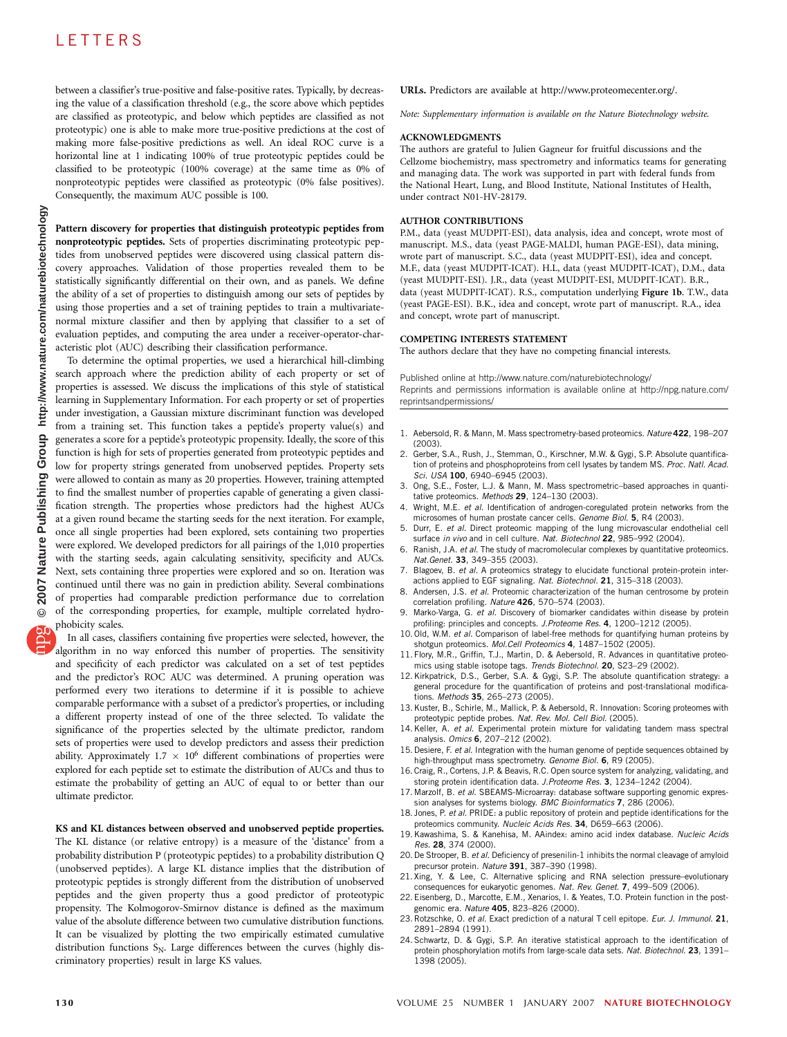## **LETTERS**

between a classifier's true-positive and false-positive rates. Typically, by decreasing the value of a classification threshold (e.g., the score above which peptides are classified as proteotypic, and below which peptides are classified as not proteotypic) one is able to make more true-positive predictions at the cost of making more false-positive predictions as well. An ideal ROC curve is a horizontal line at 1 indicating 100% of true proteotypic peptides could be classified to be proteotypic (100% coverage) at the same time as 0% of nonproteotypic peptides were classified as proteotypic (0% false positives). Consequently, the maximum AUC possible is 100.

Pattern discovery for properties that distinguish proteotypic peptides from nonproteotypic peptides. Sets of properties discriminating proteotypic peptides from unobserved peptides were discovered using classical pattern discovery approaches. Validation of those properties revealed them to be statistically significantly differential on their own, and as panels. We define the ability of a set of properties to distinguish among our sets of peptides by using those properties and a set of training peptides to train a multivariatenormal mixture classifier and then by applying that classifier to a set of evaluation peptides, and computing the area under a receiver-operator-characteristic plot (AUC) describing their classification performance.

To determine the optimal properties, we used a hierarchical hill-climbing search approach where the prediction ability of each property or set of properties is assessed. We discuss the implications of this style of statistical learning in Supplementary Information. For each property or set of properties under investigation, a Gaussian mixture discriminant function was developed from a training set. This function takes a peptide's property value(s) and generates a score for a peptide's proteotypic propensity. Ideally, the score of this function is high for sets of properties generated from proteotypic peptides and low for property strings generated from unobserved peptides. Property sets were allowed to contain as many as 20 properties. However, training attempted to find the smallest number of properties capable of generating a given classification strength. The properties whose predictors had the highest AUCs at a given round became the starting seeds for the next iteration. For example, once all single properties had been explored, sets containing two properties were explored. We developed predictors for all pairings of the 1,010 properties with the starting seeds, again calculating sensitivity, specificity and AUCs. Next, sets containing three properties were explored and so on. Iteration was continued until there was no gain in prediction ability. Several combinations of properties had comparable prediction performance due to correlation of the corresponding properties, for example, multiple correlated hydrophobicity scales.

In all cases, classifiers containing five properties were selected, however, the algorithm in no way enforced this number of properties. The sensitivity and specificity of each predictor was calculated on a set of test peptides and the predictor's ROC AUC was determined. A pruning operation was performed every two iterations to determine if it is possible to achieve comparable performance with a subset of a predictor's properties, or including a different property instead of one of the three selected. To validate the significance of the properties selected by the ultimate predictor, random sets of properties were used to develop predictors and assess their prediction ability. Approximately  $1.7 \times 10^6$  different combinations of properties were explored for each peptide set to estimate the distribution of AUCs and thus to estimate the probability of getting an AUC of equal to or better than our ultimate predictor.

KS and KL distances between observed and unobserved peptide properties.

The KL distance (or relative entropy) is a measure of the 'distance' from a probability distribution P (proteotypic peptides) to a probability distribution Q (unobserved peptides). A large KL distance implies that the distribution of proteotypic peptides is strongly different from the distribution of unobserved peptides and the given property thus a good predictor of proteotypic propensity. The Kolmogorov-Smirnov distance is defined as the maximum value of the absolute difference between two cumulative distribution functions. It can be visualized by plotting the two empirically estimated cumulative distribution functions  $S_N$ . Large differences between the curves (highly discriminatory properties) result in large KS values.

URLs. Predictors are available at http://www.proteomecenter.org/.

Note: Supplementary information is available on the Nature Biotechnology website.

#### ACKNOWLEDGMENTS

The authors are grateful to Julien Gagneur for fruitful discussions and the Cellzome biochemistry, mass spectrometry and informatics teams for generating and managing data. The work was supported in part with federal funds from the National Heart, Lung, and Blood Institute, National Institutes of Health, under contract N01-HV-28179.

### AUTHOR CONTRIBUTIONS

P.M., data (yeast MUDPIT-ESI), data analysis, idea and concept, wrote most of manuscript. M.S., data (yeast PAGE-MALDI, human PAGE-ESI), data mining, wrote part of manuscript. S.C., data (yeast MUDPIT-ESI), idea and concept. M.F., data (yeast MUDPIT-ICAT). H.L, data (yeast MUDPIT-ICAT), D.M., data (yeast MUDPIT-ESI). J.R., data (yeast MUDPIT-ESI, MUDPIT-ICAT). B.R., data (yeast MUDPIT-ICAT). R.S., computation underlying Figure 1b. T.W., data (yeast PAGE-ESI). B.K., idea and concept, wrote part of manuscript. R.A., idea and concept, wrote part of manuscript.

#### COMPETING INTERESTS STATEMENT

The authors declare that they have no competing financial interests.

Published online at http://www.nature.com/naturebiotechnology/ Reprints and permissions information is available online at http://npg.nature.com/ reprintsandpermissions/

- 1. Aebersold, R. & Mann, M. Mass spectrometry-based proteomics. Nature 422, 198–207 (2003).
- 2. Gerber, S.A., Rush, J., Stemman, O., Kirschner, M.W. & Gygi, S.P. Absolute quantification of proteins and phosphoproteins from cell lysates by tandem MS. Proc. Natl. Acad. Sci. USA 100, 6940-6945 (2003).
- 3. Ong, S.E., Foster, L.J. & Mann, M. Mass spectrometric–based approaches in quantitative proteomics. Methods 29, 124–130 (2003).
- Wright, M.E. et al. Identification of androgen-coregulated protein networks from the microsomes of human prostate cancer cells. Genome Biol. 5, R4 (2003).
- 5. Durr, E. et al. Direct proteomic mapping of the lung microvascular endothelial cell surface in vivo and in cell culture. Nat. Biotechnol 22, 985-992 (2004).
- Ranish, J.A. et al. The study of macromolecular complexes by quantitative proteomics. Nat.Genet. 33, 349–355 (2003).
- 7. Blagoev, B. et al. A proteomics strategy to elucidate functional protein-protein interactions applied to EGF signaling. Nat. Biotechnol. 21, 315–318 (2003).
- 8. Andersen, J.S. et al. Proteomic characterization of the human centrosome by protein correlation profiling. Nature 426, 570-574 (2003).
- 9. Marko-Varga, G. et al. Discovery of biomarker candidates within disease by protein profiling: principles and concepts. J.Proteome Res. 4, 1200-1212 (2005).
- 10. Old, W.M. et al. Comparison of label-free methods for quantifying human proteins by shotgun proteomics. Mol.Cell Proteomics 4, 1487-1502 (2005).
- 11. Flory, M.R., Griffin, T.J., Martin, D. & Aebersold, R. Advances in quantitative proteomics using stable isotope tags. Trends Biotechnol. 20, S23-29 (2002).
- 12. Kirkpatrick, D.S., Gerber, S.A. & Gygi, S.P. The absolute quantification strategy: a general procedure for the quantification of proteins and post-translational modifications. Methods 35, 265–273 (2005).
- 13. Kuster, B., Schirle, M., Mallick, P. & Aebersold, R. Innovation: Scoring proteomes with proteotypic peptide probes. Nat. Rev. Mol. Cell Biol. (2005).
- 14. Keller, A. et al. Experimental protein mixture for validating tandem mass spectral analysis. Omics 6, 207–212 (2002).
- 15. Desiere, F. et al. Integration with the human genome of peptide sequences obtained by high-throughput mass spectrometry. Genome Biol. 6, R9 (2005).
- 16. Craig, R., Cortens, J.P. & Beavis, R.C. Open source system for analyzing, validating, and storing protein identification data. J. Proteome Res. 3, 1234-1242 (2004).
- 17. Marzolf, B. et al. SBEAMS-Microarray: database software supporting genomic expression analyses for systems biology. BMC Bioinformatics 7, 286 (2006).
- 18. Jones, P. et al. PRIDE: a public repository of protein and peptide identifications for the proteomics community. Nucleic Acids Res. 34, D659–663 (2006).
- 19. Kawashima, S. & Kanehisa, M. AAindex: amino acid index database. Nucleic Acids Res. 28, 374 (2000).
- 20. De Strooper, B. et al. Deficiency of presenilin-1 inhibits the normal cleavage of amyloid precursor protein. Nature 391, 387–390 (1998).
- 21. Xing, Y. & Lee, C. Alternative splicing and RNA selection pressure–evolutionary consequences for eukaryotic genomes. Nat. Rev. Genet. 7, 499-509 (2006).
- 22. Eisenberg, D., Marcotte, E.M., Xenarios, I. & Yeates, T.O. Protein function in the postgenomic era. Nature 405, 823-826 (2000).
- 23. Rotzschke, O. et al. Exact prediction of a natural T cell epitope. Eur. J. Immunol. 21, 2891–2894 (1991).
- 24. Schwartz, D. & Gygi, S.P. An iterative statistical approach to the identification of protein phosphorylation motifs from large-scale data sets. Nat. Biotechnol. 23, 1391-1398 (2005).